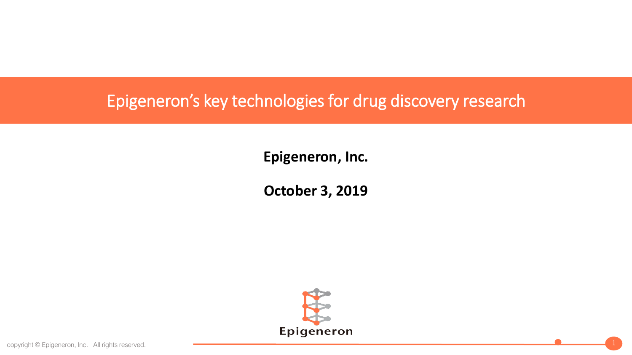# Epigeneron's key technologies for drug discovery research

**Epigeneron, Inc.**

**October 3, 2019**

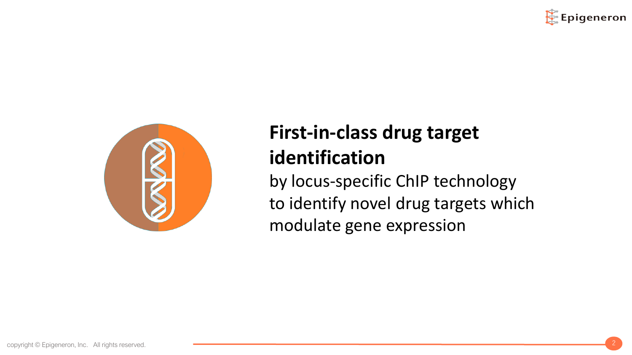



# **First-in-class drug target identification**

by locus-specific ChIP technology to identify novel drug targets which modulate gene expression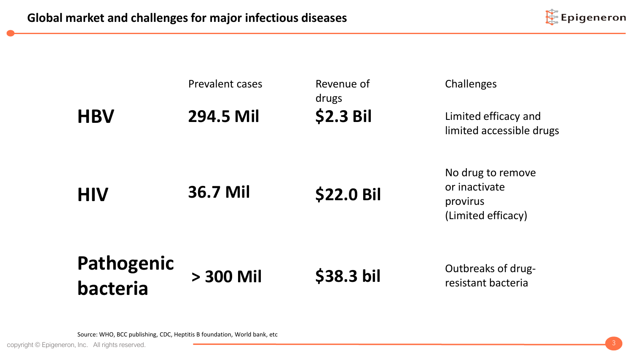

|                        | Prevalent cases | Revenue of<br>drugs | Challenges                                                           |
|------------------------|-----------------|---------------------|----------------------------------------------------------------------|
| <b>HBV</b>             | 294.5 Mil       | \$2.3 Bil           | Limited efficacy and<br>limited accessible drugs                     |
| <b>HIV</b>             | 36.7 Mil        | <b>\$22.0 Bil</b>   | No drug to remove<br>or inactivate<br>provirus<br>(Limited efficacy) |
| Pathogenic<br>bacteria | > 300 Mil       | \$38.3 bil          | Outbreaks of drug-<br>resistant bacteria                             |

Source: WHO, BCC publishing, CDC, Heptitis B foundation, World bank, etc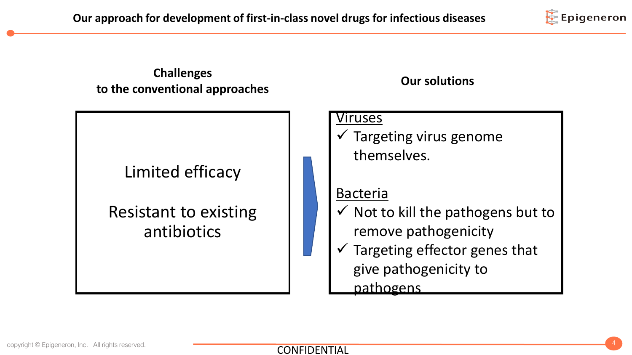

**Challenges to the conventional approaches Our solutions**

Limited efficacy

Resistant to existing

antibiotics

#### Viruses

 $\checkmark$  Targeting virus genome themselves.

#### Bacteria

- $\checkmark$  Not to kill the pathogens but to remove pathogenicity
- Targeting effector genes that give pathogenicity to

pathogens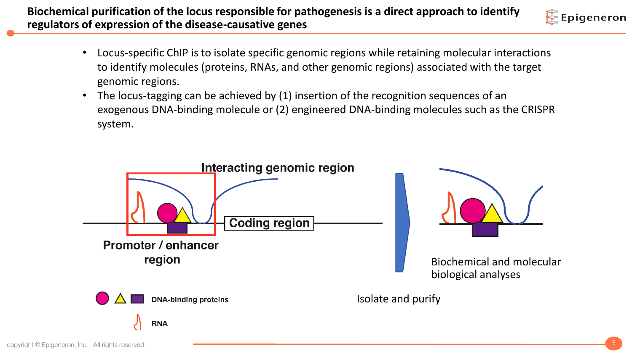- Epigeneron
- Locus-specific ChIP is to isolate specific genomic regions while retaining molecular interactions to identify molecules (proteins, RNAs, and other genomic regions) associated with the target genomic regions.
- The locus-tagging can be achieved by (1) insertion of the recognition sequences of an exogenous DNA-binding molecule or (2) engineered DNA-binding molecules such as the CRISPR system.

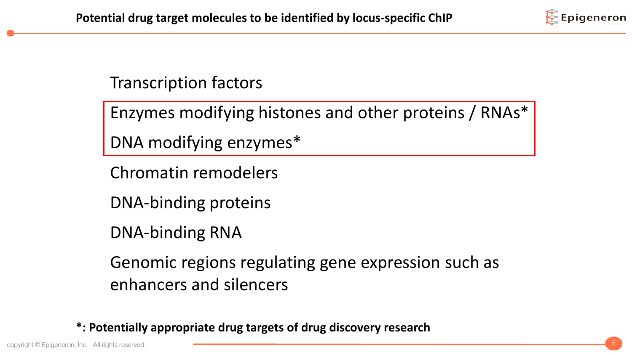

Transcription factors

Enzymes modifying histones and other proteins / RNAs\*

DNA modifying enzymes\*

Chromatin remodelers

DNA-binding proteins

DNA-binding RNA

Genomic regions regulating gene expression such as enhancers and silencers

**\*: Potentially appropriate drug targets of drug discovery research**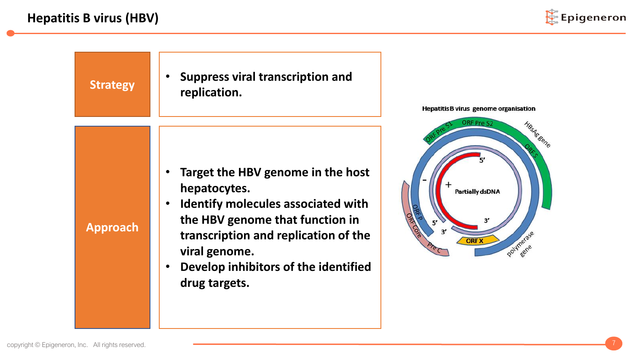

HBsAggene

Polymerase

rmene

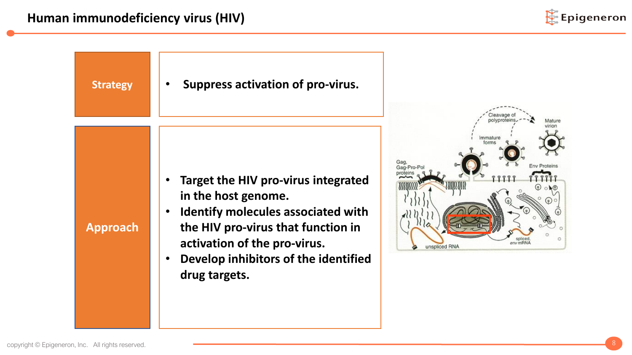

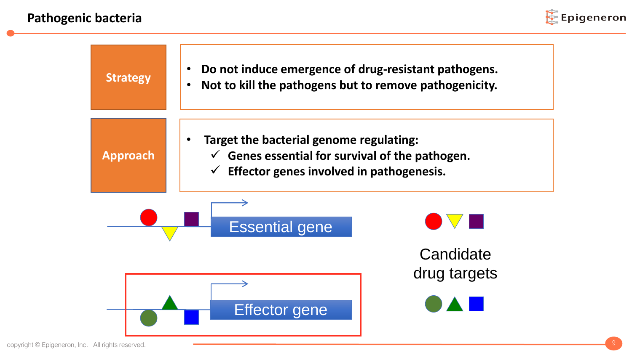

| <b>Strategy</b>      | Do not induce emergence of drug-resistant pathogens.<br>Not to kill the pathogens but to remove pathogenicity.                                                    |              |  |
|----------------------|-------------------------------------------------------------------------------------------------------------------------------------------------------------------|--------------|--|
| <b>Approach</b>      | Target the bacterial genome regulating:<br>$\checkmark$ Genes essential for survival of the pathogen.<br>Effector genes involved in pathogenesis.<br>$\checkmark$ |              |  |
|                      | <b>Essential gene</b>                                                                                                                                             | Candidate    |  |
| <b>Effector gene</b> |                                                                                                                                                                   | drug targets |  |

copyright © Epigeneron, Inc. All rights reserved. 9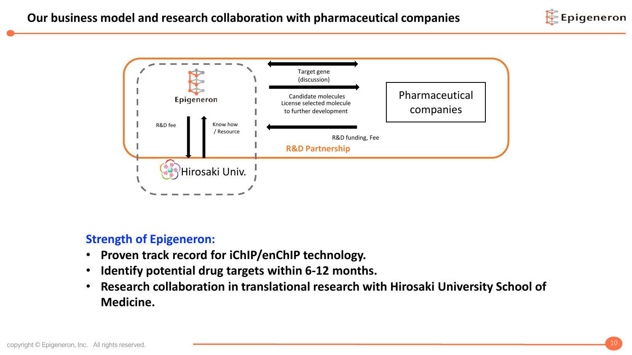



#### **Strength of Epigeneron:**

- **Proven track record for iChIP/enChIP technology.**
- **Identify potential drug targets within 6-12 months.**
- **Research collaboration in translational research with Hirosaki University School of Medicine.**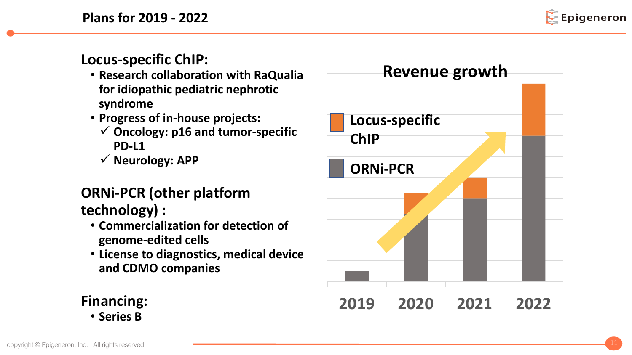**Plans for 2019 - 2022**



**Locus-specific ChIP:**

- **Research collaboration with RaQualia for idiopathic pediatric nephrotic syndrome**
- **Progress of in-house projects:**
	- ✓ **Oncology: p16 and tumor-specific PD-L1**
	- ✓ **Neurology: APP**

## **ORNi-PCR (other platform technology) :**

- **Commercialization for detection of genome-edited cells**
- **License to diagnostics, medical device and CDMO companies**

**2019 2020 2021 2022 ORNi-PCR Locus-specific ChIP Revenue growth**

## **Financing:** • **Series B**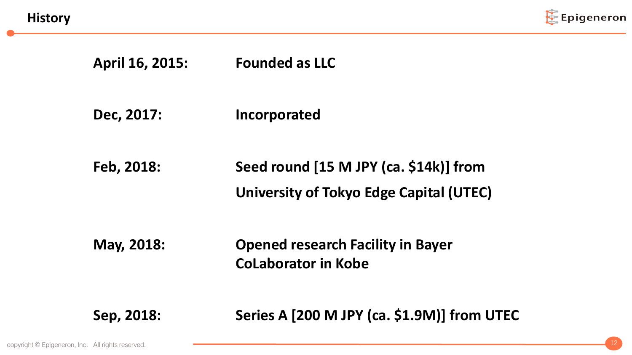**History**



# **April 16, 2015: Founded as LLC**

**Dec, 2017: Incorporated**

**Feb, 2018: Seed round [15 M JPY (ca. \$14k)] from University of Tokyo Edge Capital (UTEC)** 

**May, 2018: Opened research Facility in Bayer CoLaborator in Kobe**

**Sep, 2018: Series A [200 M JPY (ca. \$1.9M)] from UTEC**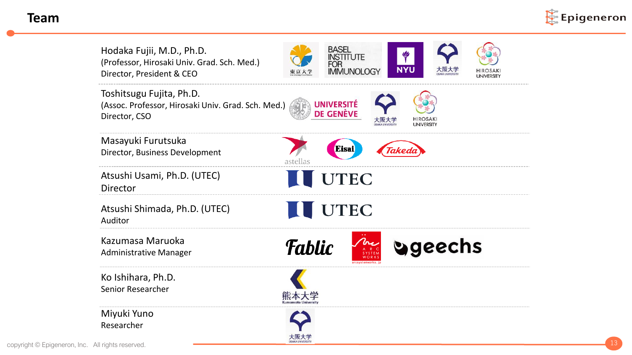#### **Team**